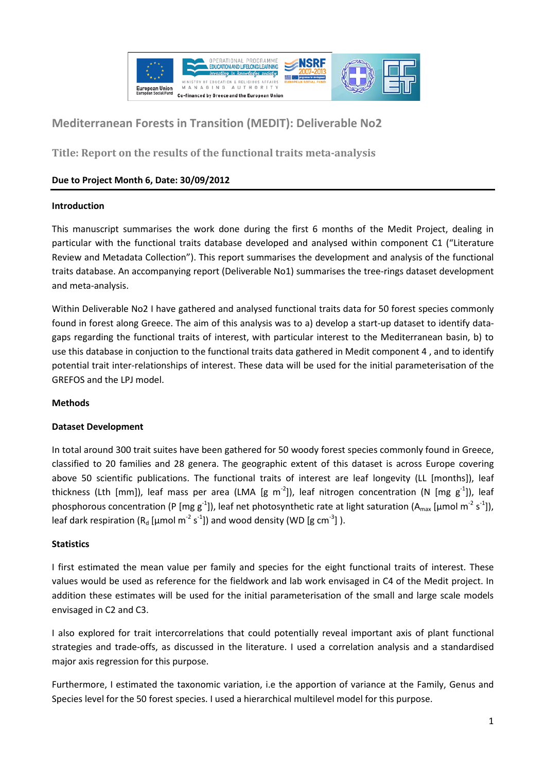

# **Mediterranean Forests in Transition (MEDIT): Deliverable No2**

**Title: Report on the results of the functional traits meta-analysis**

# **Due to Project Month 6, Date: 30/09/2012**

#### **Introduction**

This manuscript summarises the work done during the first 6 months of the Medit Project, dealing in particular with the functional traits database developed and analysed within component C1 ("Literature Review and Metadata Collection"). This report summarises the development and analysis of the functional traits database. An accompanying report (Deliverable No1) summarises the tree-rings dataset development and meta-analysis.

Within Deliverable No2 I have gathered and analysed functional traits data for 50 forest species commonly found in forest along Greece. The aim of this analysis was to a) develop a start-up dataset to identify datagaps regarding the functional traits of interest, with particular interest to the Mediterranean basin, b) to use this database in conjuction to the functional traits data gathered in Medit component 4 , and to identify potential trait inter-relationships of interest. These data will be used for the initial parameterisation of the GREFOS and the LPJ model.

#### **Methods**

## **Dataset Development**

In total around 300 trait suites have been gathered for 50 woody forest species commonly found in Greece, classified to 20 families and 28 genera. The geographic extent of this dataset is across Europe covering above 50 scientific publications. The functional traits of interest are leaf longevity (LL [months]), leaf thickness (Lth [mm]), leaf mass per area (LMA [g m<sup>-2</sup>]), leaf nitrogen concentration (N [mg g<sup>-1</sup>]), leaf phosphorous concentration (P [mg g<sup>-1</sup>]), leaf net photosynthetic rate at light saturation (A<sub>max</sub> [µmol m<sup>-2</sup> s<sup>-1</sup>]), leaf dark respiration ( $R_d$  [µmol m<sup>-2</sup> s<sup>-1</sup>]) and wood density (WD [g cm<sup>-3</sup>]).

## **Statistics**

I first estimated the mean value per family and species for the eight functional traits of interest. These values would be used as reference for the fieldwork and lab work envisaged in C4 of the Medit project. In addition these estimates will be used for the initial parameterisation of the small and large scale models envisaged in C2 and C3.

I also explored for trait intercorrelations that could potentially reveal important axis of plant functional strategies and trade-offs, as discussed in the literature. I used a correlation analysis and a standardised major axis regression for this purpose.

Furthermore, I estimated the taxonomic variation, i.e the apportion of variance at the Family, Genus and Species level for the 50 forest species. I used a hierarchical multilevel model for this purpose.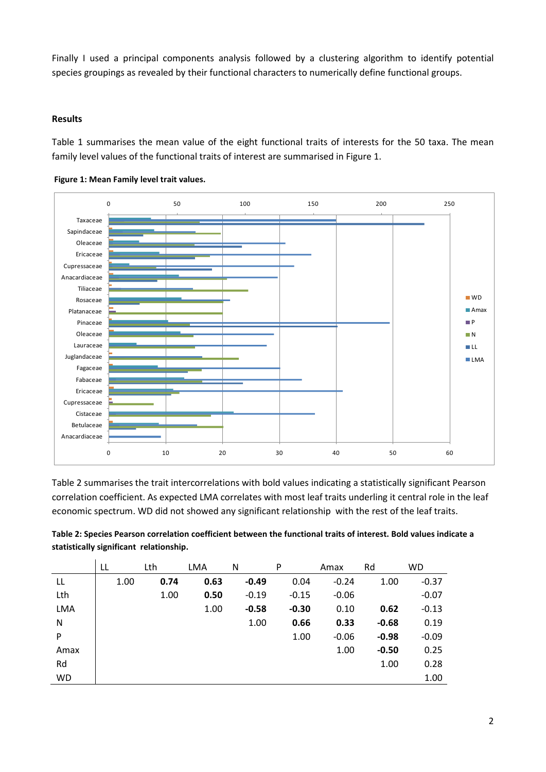Finally I used a principal components analysis followed by a clustering algorithm to identify potential species groupings as revealed by their functional characters to numerically define functional groups.

#### **Results**

Table 1 summarises the mean value of the eight functional traits of interests for the 50 taxa. The mean family level values of the functional traits of interest are summarised in Figure 1.





Table 2 summarises the trait intercorrelations with bold values indicating a statistically significant Pearson correlation coefficient. As expected LMA correlates with most leaf traits underling it central role in the leaf economic spectrum. WD did not showed any significant relationship with the rest of the leaf traits.

| Table 2: Species Pearson correlation coefficient between the functional traits of interest. Bold values indicate a |
|--------------------------------------------------------------------------------------------------------------------|
| statistically significant relationship.                                                                            |

|            | LL   | Lth  | LMA  | N       | P       | Amax    | Rd      | <b>WD</b> |
|------------|------|------|------|---------|---------|---------|---------|-----------|
| LL         | 1.00 | 0.74 | 0.63 | $-0.49$ | 0.04    | $-0.24$ | 1.00    | $-0.37$   |
| Lth        |      | 1.00 | 0.50 | $-0.19$ | $-0.15$ | $-0.06$ |         | $-0.07$   |
| <b>LMA</b> |      |      | 1.00 | $-0.58$ | $-0.30$ | 0.10    | 0.62    | $-0.13$   |
| N          |      |      |      | 1.00    | 0.66    | 0.33    | $-0.68$ | 0.19      |
| P          |      |      |      |         | 1.00    | $-0.06$ | $-0.98$ | $-0.09$   |
| Amax       |      |      |      |         |         | 1.00    | $-0.50$ | 0.25      |
| Rd         |      |      |      |         |         |         | 1.00    | 0.28      |
| <b>WD</b>  |      |      |      |         |         |         |         | 1.00      |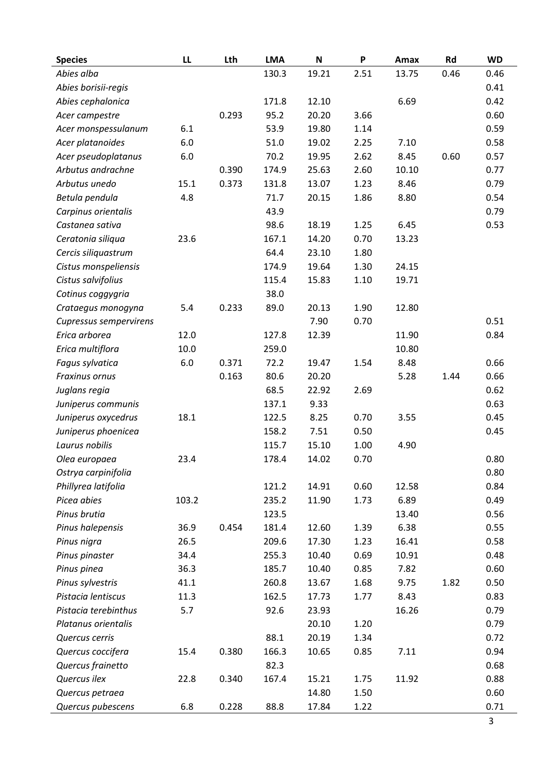| Abies alba<br>130.3<br>19.21<br>2.51<br>13.75<br>0.46<br>0.46<br>Abies borisii-regis<br>0.41<br>Abies cephalonica<br>171.8<br>12.10<br>6.69<br>0.42<br>3.66<br>0.293<br>95.2<br>20.20<br>0.60<br>Acer campestre<br>6.1<br>53.9<br>19.80<br>1.14<br>0.59<br>Acer monspessulanum<br>Acer platanoides<br>6.0<br>51.0<br>19.02<br>2.25<br>7.10<br>0.58<br>70.2<br>0.60<br>Acer pseudoplatanus<br>6.0<br>2.62<br>8.45<br>0.57<br>19.95<br>Arbutus andrachne<br>0.390<br>174.9<br>25.63<br>2.60<br>10.10<br>0.77<br>15.1<br>0.373<br>13.07<br>1.23<br>8.46<br>0.79<br>Arbutus unedo<br>131.8<br>4.8<br>71.7<br>20.15<br>1.86<br>8.80<br>0.54<br>Betula pendula<br>43.9<br>0.79<br>Carpinus orientalis<br>98.6<br>18.19<br>1.25<br>6.45<br>0.53<br>Castanea sativa<br>Ceratonia siliqua<br>23.6<br>167.1<br>14.20<br>0.70<br>13.23<br>Cercis siliquastrum<br>64.4<br>23.10<br>1.80<br>Cistus monspeliensis<br>174.9<br>1.30<br>24.15<br>19.64<br>Cistus salvifolius<br>115.4<br>1.10<br>19.71<br>15.83<br>38.0<br>Cotinus coggygria<br>1.90<br>5.4<br>0.233<br>89.0<br>20.13<br>12.80<br>Crataegus monogyna<br>7.90<br>0.70<br>0.51<br>Cupressus sempervirens<br>Erica arborea<br>12.0<br>127.8<br>12.39<br>11.90<br>0.84<br>Erica multiflora<br>10.0<br>259.0<br>10.80<br>$6.0\,$<br>0.371<br>72.2<br>Fagus sylvatica<br>19.47<br>1.54<br>8.48<br>0.66<br>0.163<br>80.6<br>20.20<br>1.44<br>Fraxinus ornus<br>5.28<br>0.66<br>68.5<br>22.92<br>2.69<br>0.62<br>Juglans regia<br>0.63<br>137.1<br>9.33<br>Juniperus communis<br>18.1<br>122.5<br>8.25<br>0.70<br>3.55<br>0.45<br>Juniperus oxycedrus<br>Juniperus phoenicea<br>158.2<br>0.50<br>7.51<br>0.45<br>Laurus nobilis<br>115.7<br>15.10<br>1.00<br>4.90<br>0.80<br>23.4<br>178.4<br>0.70<br>14.02<br>Olea europaea<br>0.80<br>Ostrya carpinifolia |
|-----------------------------------------------------------------------------------------------------------------------------------------------------------------------------------------------------------------------------------------------------------------------------------------------------------------------------------------------------------------------------------------------------------------------------------------------------------------------------------------------------------------------------------------------------------------------------------------------------------------------------------------------------------------------------------------------------------------------------------------------------------------------------------------------------------------------------------------------------------------------------------------------------------------------------------------------------------------------------------------------------------------------------------------------------------------------------------------------------------------------------------------------------------------------------------------------------------------------------------------------------------------------------------------------------------------------------------------------------------------------------------------------------------------------------------------------------------------------------------------------------------------------------------------------------------------------------------------------------------------------------------------------------------------------------------------------------------------------------------------------------------------------------------------------------|
|                                                                                                                                                                                                                                                                                                                                                                                                                                                                                                                                                                                                                                                                                                                                                                                                                                                                                                                                                                                                                                                                                                                                                                                                                                                                                                                                                                                                                                                                                                                                                                                                                                                                                                                                                                                                     |
|                                                                                                                                                                                                                                                                                                                                                                                                                                                                                                                                                                                                                                                                                                                                                                                                                                                                                                                                                                                                                                                                                                                                                                                                                                                                                                                                                                                                                                                                                                                                                                                                                                                                                                                                                                                                     |
|                                                                                                                                                                                                                                                                                                                                                                                                                                                                                                                                                                                                                                                                                                                                                                                                                                                                                                                                                                                                                                                                                                                                                                                                                                                                                                                                                                                                                                                                                                                                                                                                                                                                                                                                                                                                     |
|                                                                                                                                                                                                                                                                                                                                                                                                                                                                                                                                                                                                                                                                                                                                                                                                                                                                                                                                                                                                                                                                                                                                                                                                                                                                                                                                                                                                                                                                                                                                                                                                                                                                                                                                                                                                     |
|                                                                                                                                                                                                                                                                                                                                                                                                                                                                                                                                                                                                                                                                                                                                                                                                                                                                                                                                                                                                                                                                                                                                                                                                                                                                                                                                                                                                                                                                                                                                                                                                                                                                                                                                                                                                     |
|                                                                                                                                                                                                                                                                                                                                                                                                                                                                                                                                                                                                                                                                                                                                                                                                                                                                                                                                                                                                                                                                                                                                                                                                                                                                                                                                                                                                                                                                                                                                                                                                                                                                                                                                                                                                     |
|                                                                                                                                                                                                                                                                                                                                                                                                                                                                                                                                                                                                                                                                                                                                                                                                                                                                                                                                                                                                                                                                                                                                                                                                                                                                                                                                                                                                                                                                                                                                                                                                                                                                                                                                                                                                     |
|                                                                                                                                                                                                                                                                                                                                                                                                                                                                                                                                                                                                                                                                                                                                                                                                                                                                                                                                                                                                                                                                                                                                                                                                                                                                                                                                                                                                                                                                                                                                                                                                                                                                                                                                                                                                     |
|                                                                                                                                                                                                                                                                                                                                                                                                                                                                                                                                                                                                                                                                                                                                                                                                                                                                                                                                                                                                                                                                                                                                                                                                                                                                                                                                                                                                                                                                                                                                                                                                                                                                                                                                                                                                     |
|                                                                                                                                                                                                                                                                                                                                                                                                                                                                                                                                                                                                                                                                                                                                                                                                                                                                                                                                                                                                                                                                                                                                                                                                                                                                                                                                                                                                                                                                                                                                                                                                                                                                                                                                                                                                     |
|                                                                                                                                                                                                                                                                                                                                                                                                                                                                                                                                                                                                                                                                                                                                                                                                                                                                                                                                                                                                                                                                                                                                                                                                                                                                                                                                                                                                                                                                                                                                                                                                                                                                                                                                                                                                     |
|                                                                                                                                                                                                                                                                                                                                                                                                                                                                                                                                                                                                                                                                                                                                                                                                                                                                                                                                                                                                                                                                                                                                                                                                                                                                                                                                                                                                                                                                                                                                                                                                                                                                                                                                                                                                     |
|                                                                                                                                                                                                                                                                                                                                                                                                                                                                                                                                                                                                                                                                                                                                                                                                                                                                                                                                                                                                                                                                                                                                                                                                                                                                                                                                                                                                                                                                                                                                                                                                                                                                                                                                                                                                     |
|                                                                                                                                                                                                                                                                                                                                                                                                                                                                                                                                                                                                                                                                                                                                                                                                                                                                                                                                                                                                                                                                                                                                                                                                                                                                                                                                                                                                                                                                                                                                                                                                                                                                                                                                                                                                     |
|                                                                                                                                                                                                                                                                                                                                                                                                                                                                                                                                                                                                                                                                                                                                                                                                                                                                                                                                                                                                                                                                                                                                                                                                                                                                                                                                                                                                                                                                                                                                                                                                                                                                                                                                                                                                     |
|                                                                                                                                                                                                                                                                                                                                                                                                                                                                                                                                                                                                                                                                                                                                                                                                                                                                                                                                                                                                                                                                                                                                                                                                                                                                                                                                                                                                                                                                                                                                                                                                                                                                                                                                                                                                     |
|                                                                                                                                                                                                                                                                                                                                                                                                                                                                                                                                                                                                                                                                                                                                                                                                                                                                                                                                                                                                                                                                                                                                                                                                                                                                                                                                                                                                                                                                                                                                                                                                                                                                                                                                                                                                     |
|                                                                                                                                                                                                                                                                                                                                                                                                                                                                                                                                                                                                                                                                                                                                                                                                                                                                                                                                                                                                                                                                                                                                                                                                                                                                                                                                                                                                                                                                                                                                                                                                                                                                                                                                                                                                     |
|                                                                                                                                                                                                                                                                                                                                                                                                                                                                                                                                                                                                                                                                                                                                                                                                                                                                                                                                                                                                                                                                                                                                                                                                                                                                                                                                                                                                                                                                                                                                                                                                                                                                                                                                                                                                     |
|                                                                                                                                                                                                                                                                                                                                                                                                                                                                                                                                                                                                                                                                                                                                                                                                                                                                                                                                                                                                                                                                                                                                                                                                                                                                                                                                                                                                                                                                                                                                                                                                                                                                                                                                                                                                     |
|                                                                                                                                                                                                                                                                                                                                                                                                                                                                                                                                                                                                                                                                                                                                                                                                                                                                                                                                                                                                                                                                                                                                                                                                                                                                                                                                                                                                                                                                                                                                                                                                                                                                                                                                                                                                     |
|                                                                                                                                                                                                                                                                                                                                                                                                                                                                                                                                                                                                                                                                                                                                                                                                                                                                                                                                                                                                                                                                                                                                                                                                                                                                                                                                                                                                                                                                                                                                                                                                                                                                                                                                                                                                     |
|                                                                                                                                                                                                                                                                                                                                                                                                                                                                                                                                                                                                                                                                                                                                                                                                                                                                                                                                                                                                                                                                                                                                                                                                                                                                                                                                                                                                                                                                                                                                                                                                                                                                                                                                                                                                     |
|                                                                                                                                                                                                                                                                                                                                                                                                                                                                                                                                                                                                                                                                                                                                                                                                                                                                                                                                                                                                                                                                                                                                                                                                                                                                                                                                                                                                                                                                                                                                                                                                                                                                                                                                                                                                     |
|                                                                                                                                                                                                                                                                                                                                                                                                                                                                                                                                                                                                                                                                                                                                                                                                                                                                                                                                                                                                                                                                                                                                                                                                                                                                                                                                                                                                                                                                                                                                                                                                                                                                                                                                                                                                     |
|                                                                                                                                                                                                                                                                                                                                                                                                                                                                                                                                                                                                                                                                                                                                                                                                                                                                                                                                                                                                                                                                                                                                                                                                                                                                                                                                                                                                                                                                                                                                                                                                                                                                                                                                                                                                     |
|                                                                                                                                                                                                                                                                                                                                                                                                                                                                                                                                                                                                                                                                                                                                                                                                                                                                                                                                                                                                                                                                                                                                                                                                                                                                                                                                                                                                                                                                                                                                                                                                                                                                                                                                                                                                     |
|                                                                                                                                                                                                                                                                                                                                                                                                                                                                                                                                                                                                                                                                                                                                                                                                                                                                                                                                                                                                                                                                                                                                                                                                                                                                                                                                                                                                                                                                                                                                                                                                                                                                                                                                                                                                     |
|                                                                                                                                                                                                                                                                                                                                                                                                                                                                                                                                                                                                                                                                                                                                                                                                                                                                                                                                                                                                                                                                                                                                                                                                                                                                                                                                                                                                                                                                                                                                                                                                                                                                                                                                                                                                     |
|                                                                                                                                                                                                                                                                                                                                                                                                                                                                                                                                                                                                                                                                                                                                                                                                                                                                                                                                                                                                                                                                                                                                                                                                                                                                                                                                                                                                                                                                                                                                                                                                                                                                                                                                                                                                     |
| Phillyrea latifolia<br>121.2<br>14.91<br>0.60<br>0.84<br>12.58                                                                                                                                                                                                                                                                                                                                                                                                                                                                                                                                                                                                                                                                                                                                                                                                                                                                                                                                                                                                                                                                                                                                                                                                                                                                                                                                                                                                                                                                                                                                                                                                                                                                                                                                      |
| 1.73<br>Picea abies<br>103.2<br>235.2<br>11.90<br>6.89<br>0.49                                                                                                                                                                                                                                                                                                                                                                                                                                                                                                                                                                                                                                                                                                                                                                                                                                                                                                                                                                                                                                                                                                                                                                                                                                                                                                                                                                                                                                                                                                                                                                                                                                                                                                                                      |
| Pinus brutia<br>123.5<br>13.40<br>0.56                                                                                                                                                                                                                                                                                                                                                                                                                                                                                                                                                                                                                                                                                                                                                                                                                                                                                                                                                                                                                                                                                                                                                                                                                                                                                                                                                                                                                                                                                                                                                                                                                                                                                                                                                              |
| Pinus halepensis<br>0.454<br>181.4<br>12.60<br>1.39<br>6.38<br>0.55<br>36.9                                                                                                                                                                                                                                                                                                                                                                                                                                                                                                                                                                                                                                                                                                                                                                                                                                                                                                                                                                                                                                                                                                                                                                                                                                                                                                                                                                                                                                                                                                                                                                                                                                                                                                                         |
| 26.5<br>209.6<br>17.30<br>16.41<br>0.58<br>Pinus nigra<br>1.23                                                                                                                                                                                                                                                                                                                                                                                                                                                                                                                                                                                                                                                                                                                                                                                                                                                                                                                                                                                                                                                                                                                                                                                                                                                                                                                                                                                                                                                                                                                                                                                                                                                                                                                                      |
| Pinus pinaster<br>34.4<br>255.3<br>10.40<br>0.69<br>10.91<br>0.48                                                                                                                                                                                                                                                                                                                                                                                                                                                                                                                                                                                                                                                                                                                                                                                                                                                                                                                                                                                                                                                                                                                                                                                                                                                                                                                                                                                                                                                                                                                                                                                                                                                                                                                                   |
| Pinus pinea<br>36.3<br>185.7<br>10.40<br>0.85<br>0.60<br>7.82                                                                                                                                                                                                                                                                                                                                                                                                                                                                                                                                                                                                                                                                                                                                                                                                                                                                                                                                                                                                                                                                                                                                                                                                                                                                                                                                                                                                                                                                                                                                                                                                                                                                                                                                       |
| Pinus sylvestris<br>41.1<br>260.8<br>13.67<br>1.68<br>9.75<br>1.82<br>0.50                                                                                                                                                                                                                                                                                                                                                                                                                                                                                                                                                                                                                                                                                                                                                                                                                                                                                                                                                                                                                                                                                                                                                                                                                                                                                                                                                                                                                                                                                                                                                                                                                                                                                                                          |
| Pistacia lentiscus<br>11.3<br>162.5<br>1.77<br>0.83<br>17.73<br>8.43                                                                                                                                                                                                                                                                                                                                                                                                                                                                                                                                                                                                                                                                                                                                                                                                                                                                                                                                                                                                                                                                                                                                                                                                                                                                                                                                                                                                                                                                                                                                                                                                                                                                                                                                |
| Pistacia terebinthus<br>5.7<br>92.6<br>23.93<br>16.26<br>0.79                                                                                                                                                                                                                                                                                                                                                                                                                                                                                                                                                                                                                                                                                                                                                                                                                                                                                                                                                                                                                                                                                                                                                                                                                                                                                                                                                                                                                                                                                                                                                                                                                                                                                                                                       |
| 20.10<br>1.20<br>0.79<br>Platanus orientalis                                                                                                                                                                                                                                                                                                                                                                                                                                                                                                                                                                                                                                                                                                                                                                                                                                                                                                                                                                                                                                                                                                                                                                                                                                                                                                                                                                                                                                                                                                                                                                                                                                                                                                                                                        |
| 88.1<br>20.19<br>1.34<br>0.72<br>Quercus cerris                                                                                                                                                                                                                                                                                                                                                                                                                                                                                                                                                                                                                                                                                                                                                                                                                                                                                                                                                                                                                                                                                                                                                                                                                                                                                                                                                                                                                                                                                                                                                                                                                                                                                                                                                     |
| Quercus coccifera<br>0.380<br>166.3<br>10.65<br>0.85<br>7.11<br>0.94<br>15.4                                                                                                                                                                                                                                                                                                                                                                                                                                                                                                                                                                                                                                                                                                                                                                                                                                                                                                                                                                                                                                                                                                                                                                                                                                                                                                                                                                                                                                                                                                                                                                                                                                                                                                                        |
| Quercus frainetto<br>82.3<br>0.68                                                                                                                                                                                                                                                                                                                                                                                                                                                                                                                                                                                                                                                                                                                                                                                                                                                                                                                                                                                                                                                                                                                                                                                                                                                                                                                                                                                                                                                                                                                                                                                                                                                                                                                                                                   |
| Quercus ilex<br>22.8<br>0.340<br>0.88<br>167.4<br>15.21<br>1.75<br>11.92                                                                                                                                                                                                                                                                                                                                                                                                                                                                                                                                                                                                                                                                                                                                                                                                                                                                                                                                                                                                                                                                                                                                                                                                                                                                                                                                                                                                                                                                                                                                                                                                                                                                                                                            |
| Quercus petraea<br>14.80<br>1.50<br>0.60                                                                                                                                                                                                                                                                                                                                                                                                                                                                                                                                                                                                                                                                                                                                                                                                                                                                                                                                                                                                                                                                                                                                                                                                                                                                                                                                                                                                                                                                                                                                                                                                                                                                                                                                                            |
| 6.8<br>Quercus pubescens<br>0.228<br>88.8<br>1.22<br>0.71<br>17.84                                                                                                                                                                                                                                                                                                                                                                                                                                                                                                                                                                                                                                                                                                                                                                                                                                                                                                                                                                                                                                                                                                                                                                                                                                                                                                                                                                                                                                                                                                                                                                                                                                                                                                                                  |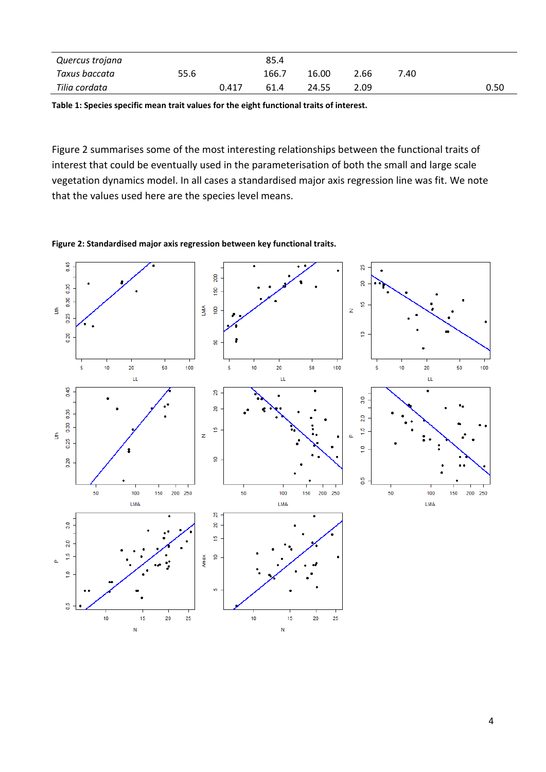| Quercus trojana |      |       | 85.4  |       |      |      |      |
|-----------------|------|-------|-------|-------|------|------|------|
| Taxus baccata   | 55.6 |       | 166.7 | 16.00 | 2.66 | 7.40 |      |
| Tilia cordata   |      | 0.417 | 61.4  | 24.55 | 2.09 |      | 0.50 |

**Table 1: Species specific mean trait values for the eight functional traits of interest.**

Figure 2 summarises some of the most interesting relationships between the functional traits of interest that could be eventually used in the parameterisation of both the small and large scale vegetation dynamics model. In all cases a standardised major axis regression line was fit. We note that the values used here are the species level means.

**Figure 2: Standardised major axis regression between key functional traits.** 

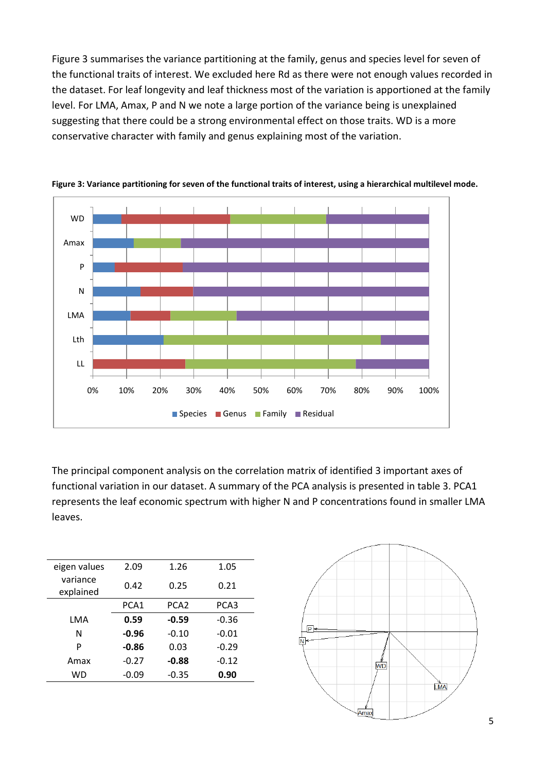Figure 3 summarises the variance partitioning at the family, genus and species level for seven of the functional traits of interest. We excluded here Rd as there were not enough values recorded in the dataset. For leaf longevity and leaf thickness most of the variation is apportioned at the family level. For LMA, Amax, P and N we note a large portion of the variance being is unexplained suggesting that there could be a strong environmental effect on those traits. WD is a more conservative character with family and genus explaining most of the variation.



**Figure 3: Variance partitioning for seven of the functional traits of interest, using a hierarchical multilevel mode.**

The principal component analysis on the correlation matrix of identified 3 important axes of functional variation in our dataset. A summary of the PCA analysis is presented in table 3. PCA1 represents the leaf economic spectrum with higher N and P concentrations found in smaller LMA leaves.

| eigen values          | 2.09    | 1.26             | 1.05    |
|-----------------------|---------|------------------|---------|
| variance<br>explained | 0.42    | 0.25             | 0.21    |
|                       | PCA1    | PCA <sub>2</sub> | PCA3    |
| LMA                   | 0.59    | $-0.59$          | $-0.36$ |
| N                     | $-0.96$ | $-0.10$          | $-0.01$ |
| P                     | $-0.86$ | 0.03             | $-0.29$ |
| Amax                  | $-0.27$ | $-0.88$          | $-0.12$ |
| WD                    | $-0.09$ | $-0.35$          | 0.90    |
|                       |         |                  |         |